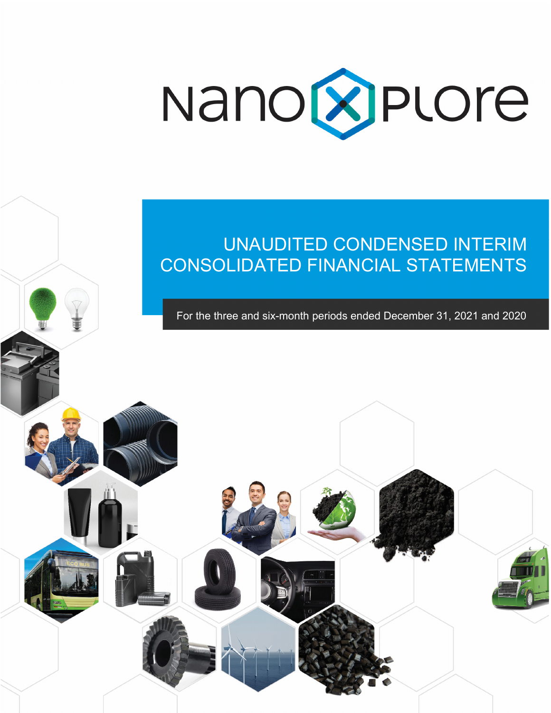

# UNAUDITED CONDENSED INTERIM CONSOLIDATED FINANCIAL STATEMENTS

For the three and six-month periods ended December 31, 2021 and 2020

Ĩ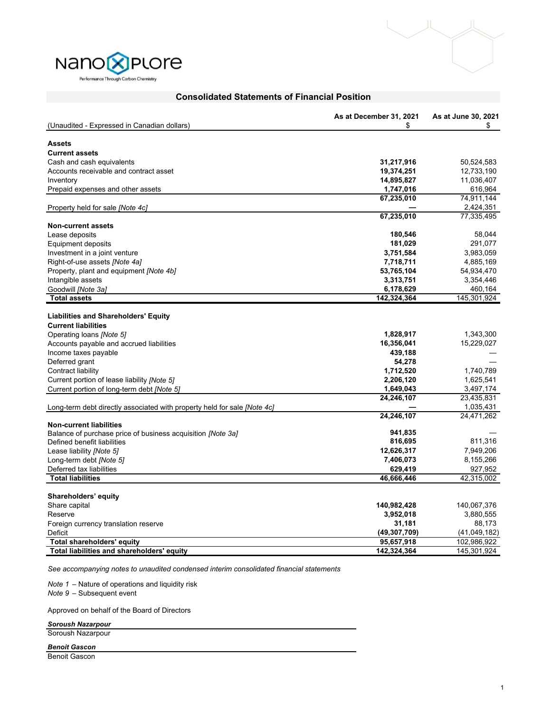



|                                                                          | As at December 31, 2021    | As at June 30, 2021         |
|--------------------------------------------------------------------------|----------------------------|-----------------------------|
| (Unaudited - Expressed in Canadian dollars)                              | \$                         | \$                          |
|                                                                          |                            |                             |
| <b>Assets</b>                                                            |                            |                             |
| <b>Current assets</b>                                                    |                            |                             |
| Cash and cash equivalents                                                | 31,217,916                 | 50,524,583                  |
| Accounts receivable and contract asset                                   | 19,374,251                 | 12,733,190                  |
| Inventory                                                                | 14,895,827                 | 11,036,407                  |
| Prepaid expenses and other assets                                        | 1,747,016<br>67,235,010    | 616,964<br>74,911,144       |
| Property held for sale <i>[Note 4c]</i>                                  |                            | 2,424,351                   |
|                                                                          | 67,235,010                 | 77,335,495                  |
| <b>Non-current assets</b>                                                |                            |                             |
| Lease deposits                                                           | 180,546                    | 58,044                      |
| <b>Equipment deposits</b>                                                | 181,029                    | 291,077                     |
| Investment in a joint venture                                            | 3,751,584                  | 3,983,059                   |
| Right-of-use assets [Note 4a]                                            | 7,718,711                  | 4,885,169                   |
| Property, plant and equipment [Note 4b]                                  | 53,765,104                 | 54,934,470                  |
| Intangible assets                                                        | 3,313,751                  | 3,354,446                   |
| Goodwill [Note 3a]                                                       | 6,178,629                  | 460,164                     |
| <b>Total assets</b>                                                      | 142,324,364                | 145,301,924                 |
|                                                                          |                            |                             |
| <b>Liabilities and Shareholders' Equity</b>                              |                            |                             |
| <b>Current liabilities</b>                                               |                            |                             |
| Operating loans [Note 5]                                                 | 1,828,917                  | 1,343,300                   |
| Accounts payable and accrued liabilities                                 | 16,356,041                 | 15,229,027                  |
| Income taxes payable                                                     | 439,188                    |                             |
| Deferred grant                                                           | 54,278                     |                             |
| Contract liability                                                       | 1,712,520                  | 1,740,789                   |
| Current portion of lease liability [Note 5]                              | 2,206,120                  | 1,625,541                   |
| Current portion of long-term debt [Note 5]                               | 1,649,043                  | 3,497,174                   |
|                                                                          | 24,246,107                 | 23,435,831                  |
| Long-term debt directly associated with property held for sale [Note 4c] |                            | 1,035,431                   |
|                                                                          | 24,246,107                 | 24,471,262                  |
| <b>Non-current liabilities</b>                                           |                            |                             |
| Balance of purchase price of business acquisition <i>[Note 3a]</i>       | 941,835                    |                             |
| Defined benefit liabilities                                              | 816,695                    | 811,316                     |
| Lease liability [Note 5]                                                 | 12,626,317                 | 7,949,206                   |
| Long-term debt [Note 5]                                                  | 7,406,073                  | 8,155,266                   |
| Deferred tax liabilities                                                 | 629,419                    | 927,952                     |
| <b>Total liabilities</b>                                                 | 46,666,446                 | 42,315,002                  |
|                                                                          |                            |                             |
| Shareholders' equity                                                     |                            |                             |
| Share capital                                                            | 140,982,428                | 140,067,376                 |
| Reserve                                                                  | 3,952,018                  | 3,880,555                   |
| Foreign currency translation reserve                                     | 31,181                     | 88,173                      |
| Deficit<br><b>Total shareholders' equity</b>                             | (49,307,709)<br>95,657,918 | (41,049,182)<br>102,986,922 |
| Total liabilities and shareholders' equity                               | 142,324,364                | 145,301,924                 |
|                                                                          |                            |                             |

# **Consolidated Statements of Financial Position**

*See accompanying notes to unaudited condensed interim consolidated financial statements* 

*Note 1* – Nature of operations and liquidity risk *Note 9* – Subsequent event

Approved on behalf of the Board of Directors

*Soroush Nazarpour*

Soroush Nazarpour

*Benoit Gascon*

Benoit Gascon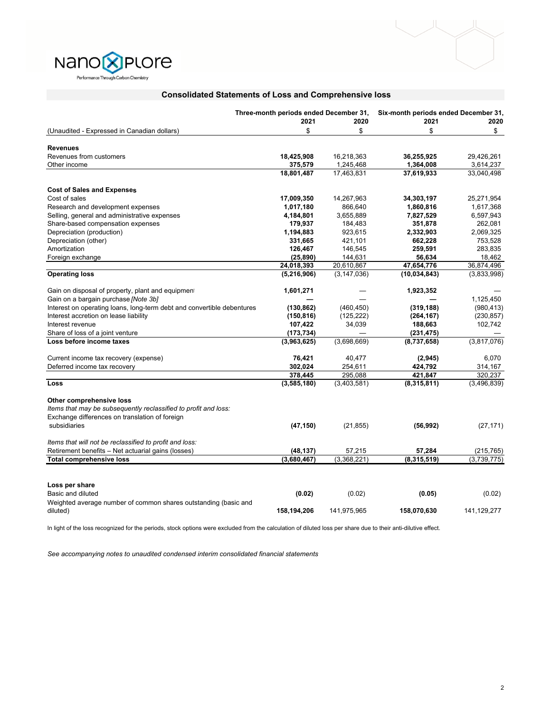

## **Consolidated Statements of Loss and Comprehensive loss**

Nano<sup>®</sup>PLOre Performance Through Carbon Chemistry

|                                                                        | Three-month periods ended December 31, |               | Six-month periods ended December 31, |             |  |
|------------------------------------------------------------------------|----------------------------------------|---------------|--------------------------------------|-------------|--|
|                                                                        | 2021                                   | 2020          | 2021                                 | 2020        |  |
| (Unaudited - Expressed in Canadian dollars)                            | \$                                     | \$            | \$                                   | \$          |  |
| <b>Revenues</b>                                                        |                                        |               |                                      |             |  |
| Revenues from customers                                                | 18,425,908                             | 16,218,363    | 36,255,925                           | 29,426,261  |  |
| Other income                                                           | 375,579                                | 1,245,468     | 1,364,008                            | 3,614,237   |  |
|                                                                        | 18,801,487                             | 17,463,831    | 37,619,933                           | 33,040,498  |  |
| <b>Cost of Sales and Expenses</b>                                      |                                        |               |                                      |             |  |
| Cost of sales                                                          | 17,009,350                             | 14,267,963    | 34,303,197                           | 25,271,954  |  |
| Research and development expenses                                      | 1,017,180                              | 866,640       | 1,860,816                            | 1,617,368   |  |
| Selling, general and administrative expenses                           | 4,184,801                              | 3,655,889     | 7,827,529                            | 6,597,943   |  |
| Share-based compensation expenses                                      | 179,937                                | 184,483       | 351,878                              | 262,081     |  |
| Depreciation (production)                                              | 1,194,883                              | 923,615       | 2,332,903                            | 2,069,325   |  |
| Depreciation (other)                                                   | 331,665                                | 421,101       | 662,228                              | 753,528     |  |
| Amortization                                                           | 126,467                                | 146,545       | 259,591                              | 283,835     |  |
| Foreign exchange                                                       | (25, 890)                              | 144,631       | 56,634                               | 18,462      |  |
|                                                                        | 24,018,393                             | 20,610,867    | 47,654,776                           | 36,874,496  |  |
| <b>Operating loss</b>                                                  | (5,216,906)                            | (3, 147, 036) | (10, 034, 843)                       | (3,833,998) |  |
| Gain on disposal of property, plant and equipment                      | 1,601,271                              |               | 1,923,352                            |             |  |
| Gain on a bargain purchase [Note 3b]                                   |                                        |               |                                      | 1,125,450   |  |
| Interest on operating loans, long-term debt and convertible debentures | (130, 862)                             | (460, 450)    | (319, 188)                           | (980, 413)  |  |
| Interest accretion on lease liability                                  | (150, 816)                             | (125, 222)    | (264, 167)                           | (230, 857)  |  |
| Interest revenue                                                       | 107,422                                | 34,039        | 188,663                              | 102,742     |  |
| Share of loss of a joint venture                                       | (173, 734)                             |               | (231, 475)                           |             |  |
| Loss before income taxes                                               | (3,963,625)                            | (3,698,669)   | (8,737,658)                          | (3,817,076) |  |
| Current income tax recovery (expense)                                  | 76,421                                 | 40,477        | (2,945)                              | 6,070       |  |
| Deferred income tax recovery                                           | 302,024                                | 254,611       | 424,792                              | 314,167     |  |
|                                                                        | 378,445                                | 295,088       | 421,847                              | 320,237     |  |
| Loss                                                                   | (3,585,180)                            | (3,403,581)   | (8,315,811)                          | (3,496,839) |  |
| Other comprehensive loss                                               |                                        |               |                                      |             |  |
| Items that may be subsequently reclassified to profit and loss:        |                                        |               |                                      |             |  |
| Exchange differences on translation of foreign                         |                                        |               |                                      |             |  |
| subsidiaries                                                           | (47, 150)                              | (21, 855)     | (56, 992)                            | (27, 171)   |  |
| Items that will not be reclassified to profit and loss:                |                                        |               |                                      |             |  |
| Retirement benefits - Net actuarial gains (losses)                     | (48, 137)                              | 57,215        | 57,284                               | (215, 765)  |  |
| <b>Total comprehensive loss</b>                                        | (3,680,467)                            | (3,368,221)   | (8,315,519)                          | (3,739,775) |  |
|                                                                        |                                        |               |                                      |             |  |
| Loss per share                                                         |                                        |               |                                      |             |  |
| Basic and diluted                                                      | (0.02)                                 | (0.02)        | (0.05)                               | (0.02)      |  |
| Weighted average number of common shares outstanding (basic and        |                                        |               |                                      |             |  |
| diluted)                                                               | 158,194,206                            | 141,975,965   | 158,070,630                          | 141,129,277 |  |

In light of the loss recognized for the periods, stock options were excluded from the calculation of diluted loss per share due to their anti-dilutive effect.

*See accompanying notes to unaudited condensed interim consolidated financial statements*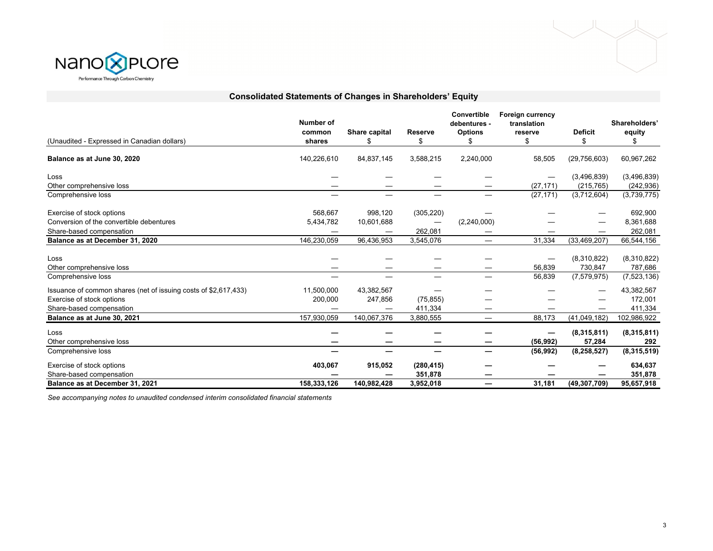



| (Unaudited - Expressed in Canadian dollars)                     | Number of<br>common<br>shares | Share capital<br>\$ | <b>Reserve</b><br>\$     | Convertible<br>debentures -<br><b>Options</b> | <b>Foreign currency</b><br>translation<br>reserve<br>\$ | <b>Deficit</b><br>\$ | Shareholders'<br>equity |
|-----------------------------------------------------------------|-------------------------------|---------------------|--------------------------|-----------------------------------------------|---------------------------------------------------------|----------------------|-------------------------|
| Balance as at June 30, 2020                                     | 140,226,610                   | 84,837,145          | 3,588,215                | 2,240,000                                     | 58,505                                                  | (29, 756, 603)       | 60,967,262              |
|                                                                 |                               |                     |                          |                                               |                                                         |                      |                         |
| Loss                                                            |                               |                     |                          |                                               |                                                         | (3,496,839)          | (3,496,839)             |
| Other comprehensive loss                                        |                               |                     |                          |                                               | (27, 171)                                               | (215, 765)           | (242, 936)              |
| Comprehensive loss                                              |                               |                     |                          |                                               | (27, 171)                                               | $\sqrt{(3,712,604)}$ | (3,739,775)             |
| Exercise of stock options                                       | 568,667                       | 998,120             | (305, 220)               |                                               |                                                         |                      | 692,900                 |
| Conversion of the convertible debentures                        | 5,434,782                     | 10,601,688          |                          | (2,240,000)                                   |                                                         |                      | 8,361,688               |
| Share-based compensation                                        |                               |                     | 262,081                  |                                               |                                                         |                      | 262,081                 |
| Balance as at December 31, 2020                                 | 146,230,059                   | 96,436,953          | 3,545,076                |                                               | 31,334                                                  | (33, 469, 207)       | 66,544,156              |
| Loss                                                            |                               |                     |                          |                                               |                                                         | (8,310,822)          | (8,310,822)             |
| Other comprehensive loss                                        |                               |                     |                          |                                               | 56,839                                                  | 730,847              | 787,686                 |
| Comprehensive loss                                              |                               |                     |                          |                                               | 56,839                                                  | (7, 579, 975)        | (7,523,136)             |
| Issuance of common shares (net of issuing costs of \$2,617,433) | 11,500,000                    | 43,382,567          |                          |                                               |                                                         |                      | 43,382,567              |
| Exercise of stock options                                       | 200,000                       | 247,856             | (75, 855)                |                                               |                                                         |                      | 172,001                 |
| Share-based compensation                                        |                               |                     | 411,334                  |                                               |                                                         |                      | 411,334                 |
| Balance as at June 30, 2021                                     | 157,930,059                   | 140,067,376         | 3,880,555                | $\overline{\phantom{m}}$                      | 88,173                                                  | (41,049,182)         | 102,986,922             |
| Loss                                                            |                               |                     |                          |                                               |                                                         | (8,315,811)          | (8,315,811)             |
| Other comprehensive loss                                        |                               |                     |                          |                                               | (56, 992)                                               | 57,284               | 292                     |
| Comprehensive loss                                              |                               |                     | $\overline{\phantom{0}}$ |                                               | (56, 992)                                               | (8, 258, 527)        | (8,315,519)             |
| Exercise of stock options                                       | 403,067                       | 915,052             | (280, 415)               |                                               |                                                         |                      | 634,637                 |
| Share-based compensation                                        |                               |                     | 351,878                  |                                               |                                                         |                      | 351,878                 |
| Balance as at December 31, 2021                                 | 158,333,126                   | 140,982,428         | 3,952,018                |                                               | 31.181                                                  | (49, 307, 709)       | 95,657,918              |

**Consolidated Statements of Changes in Shareholders' Equity**

*See accompanying notes to unaudited condensed interim consolidated financial statements*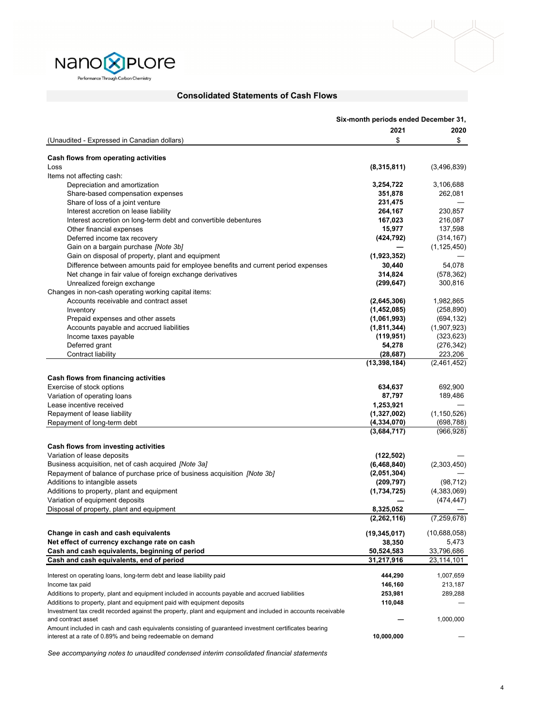

### **Consolidated Statements of Cash Flows**

|                                                                                                              | Six-month periods ended December 31, |               |
|--------------------------------------------------------------------------------------------------------------|--------------------------------------|---------------|
|                                                                                                              | 2021                                 | 2020          |
| (Unaudited - Expressed in Canadian dollars)                                                                  | \$                                   | \$            |
|                                                                                                              |                                      |               |
| Cash flows from operating activities                                                                         |                                      |               |
| Loss                                                                                                         | (8,315,811)                          | (3,496,839)   |
| Items not affecting cash:                                                                                    |                                      |               |
| Depreciation and amortization                                                                                | 3,254,722                            | 3,106,688     |
| Share-based compensation expenses                                                                            | 351,878                              | 262,081       |
| Share of loss of a joint venture                                                                             | 231,475                              |               |
| Interest accretion on lease liability                                                                        | 264,167                              | 230,857       |
| Interest accretion on long-term debt and convertible debentures                                              | 167,023                              | 216,087       |
| Other financial expenses                                                                                     | 15,977                               | 137,598       |
| Deferred income tax recovery                                                                                 | (424, 792)                           | (314, 167)    |
| Gain on a bargain purchase [Note 3b]                                                                         |                                      | (1, 125, 450) |
| Gain on disposal of property, plant and equipment                                                            | (1,923,352)                          |               |
| Difference between amounts paid for employee benefits and current period expenses                            | 30,440                               | 54,078        |
| Net change in fair value of foreign exchange derivatives                                                     | 314,824                              | (578, 362)    |
| Unrealized foreign exchange                                                                                  | (299, 647)                           | 300,816       |
| Changes in non-cash operating working capital items:                                                         |                                      |               |
| Accounts receivable and contract asset                                                                       | (2,645,306)                          | 1,982,865     |
| Inventory                                                                                                    | (1,452,085)                          | (258, 890)    |
| Prepaid expenses and other assets                                                                            | (1,061,993)                          | (694, 132)    |
| Accounts payable and accrued liabilities                                                                     | (1,811,344)                          | (1,907,923)   |
| Income taxes payable                                                                                         | (119, 951)                           | (323, 623)    |
| Deferred grant                                                                                               | 54,278                               | (276, 342)    |
| Contract liability                                                                                           | (28, 687)                            | 223,206       |
|                                                                                                              | (13, 398, 184)                       | (2,461,452)   |
| Cash flows from financing activities                                                                         |                                      |               |
|                                                                                                              |                                      |               |
| Exercise of stock options                                                                                    | 634,637                              | 692,900       |
| Variation of operating loans<br>Lease incentive received                                                     | 87,797                               | 189,486       |
|                                                                                                              | 1,253,921<br>(1,327,002)             | (1, 150, 526) |
| Repayment of lease liability                                                                                 |                                      |               |
| Repayment of long-term debt                                                                                  | (4, 334, 070)                        | (698, 788)    |
|                                                                                                              | (3,684,717)                          | (966, 928)    |
| Cash flows from investing activities                                                                         |                                      |               |
| Variation of lease deposits                                                                                  | (122, 502)                           |               |
| Business acquisition, net of cash acquired [Note 3a]                                                         | (6,468,840)                          | (2,303,450)   |
| Repayment of balance of purchase price of business acquisition [Note 3b]                                     | (2,051,304)                          |               |
| Additions to intangible assets                                                                               | (209, 797)                           | (98, 712)     |
| Additions to property, plant and equipment                                                                   | (1,734,725)                          | (4,383,069)   |
| Variation of equipment deposits                                                                              |                                      | (474, 447)    |
| Disposal of property, plant and equipment                                                                    | 8,325,052                            |               |
|                                                                                                              | (2, 262, 116)                        | (7, 259, 678) |
|                                                                                                              |                                      |               |
| Change in cash and cash equivalents                                                                          | (19,345,017)                         | (10,688,058)  |
| Net effect of currency exchange rate on cash                                                                 | 38,350                               | 5,473         |
| Cash and cash equivalents, beginning of period                                                               | 50,524,583                           | 33,796,686    |
| Cash and cash equivalents, end of period                                                                     | 31,217,916                           | 23,114,101    |
|                                                                                                              |                                      |               |
| Interest on operating loans, long-term debt and lease liability paid                                         | 444,290                              | 1,007,659     |
| Income tax paid                                                                                              | 146,160                              | 213,187       |
| Additions to property, plant and equipment included in accounts payable and accrued liabilities              | 253,981                              | 289,288       |
| Additions to property, plant and equipment paid with equipment deposits                                      | 110,048                              |               |
| Investment tax credit recorded against the property, plant and equipment and included in accounts receivable |                                      |               |
| and contract asset                                                                                           |                                      | 1,000,000     |
| Amount included in cash and cash equivalents consisting of guaranteed investment certificates bearing        |                                      |               |
| interest at a rate of 0.89% and being redeemable on demand                                                   | 10,000,000                           |               |

*See accompanying notes to unaudited condensed interim consolidated financial statements*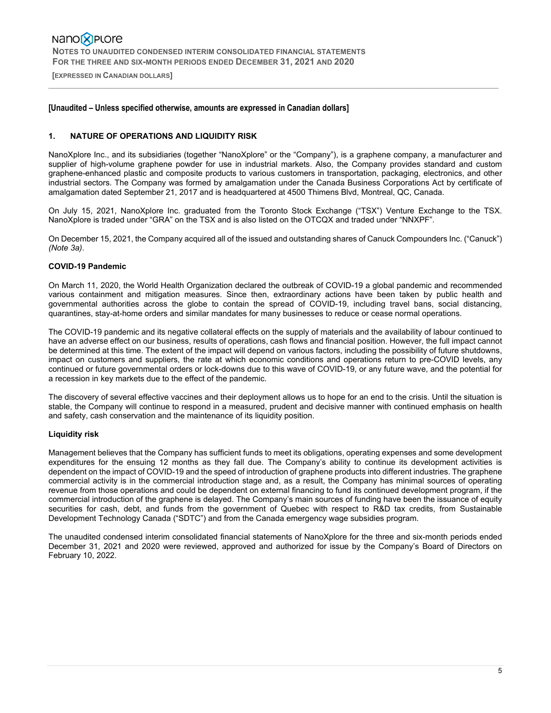**[EXPRESSED IN CANADIAN DOLLARS]** 

### **[Unaudited – Unless specified otherwise, amounts are expressed in Canadian dollars]**

### **1. NATURE OF OPERATIONS AND LIQUIDITY RISK**

NanoXplore Inc., and its subsidiaries (together "NanoXplore" or the "Company"), is a graphene company, a manufacturer and supplier of high-volume graphene powder for use in industrial markets. Also, the Company provides standard and custom graphene-enhanced plastic and composite products to various customers in transportation, packaging, electronics, and other industrial sectors. The Company was formed by amalgamation under the Canada Business Corporations Act by certificate of amalgamation dated September 21, 2017 and is headquartered at 4500 Thimens Blvd, Montreal, QC, Canada.

 $\_$  , and the state of the state of the state of the state of the state of the state of the state of the state of the state of the state of the state of the state of the state of the state of the state of the state of the

On July 15, 2021, NanoXplore Inc. graduated from the Toronto Stock Exchange ("TSX") Venture Exchange to the TSX. NanoXplore is traded under "GRA" on the TSX and is also listed on the OTCQX and traded under "NNXPF".

On December 15, 2021, the Company acquired all of the issued and outstanding shares of Canuck Compounders Inc. ("Canuck") *(Note 3a)*.

### **COVID-19 Pandemic**

On March 11, 2020, the World Health Organization declared the outbreak of COVID-19 a global pandemic and recommended various containment and mitigation measures. Since then, extraordinary actions have been taken by public health and governmental authorities across the globe to contain the spread of COVID-19, including travel bans, social distancing, quarantines, stay-at-home orders and similar mandates for many businesses to reduce or cease normal operations.

The COVID-19 pandemic and its negative collateral effects on the supply of materials and the availability of labour continued to have an adverse effect on our business, results of operations, cash flows and financial position. However, the full impact cannot be determined at this time. The extent of the impact will depend on various factors, including the possibility of future shutdowns, impact on customers and suppliers, the rate at which economic conditions and operations return to pre-COVID levels, any continued or future governmental orders or lock-downs due to this wave of COVID-19, or any future wave, and the potential for a recession in key markets due to the effect of the pandemic.

The discovery of several effective vaccines and their deployment allows us to hope for an end to the crisis. Until the situation is stable, the Company will continue to respond in a measured, prudent and decisive manner with continued emphasis on health and safety, cash conservation and the maintenance of its liquidity position.

#### **Liquidity risk**

Management believes that the Company has sufficient funds to meet its obligations, operating expenses and some development expenditures for the ensuing 12 months as they fall due. The Company's ability to continue its development activities is dependent on the impact of COVID-19 and the speed of introduction of graphene products into different industries. The graphene commercial activity is in the commercial introduction stage and, as a result, the Company has minimal sources of operating revenue from those operations and could be dependent on external financing to fund its continued development program, if the commercial introduction of the graphene is delayed. The Company's main sources of funding have been the issuance of equity securities for cash, debt, and funds from the government of Quebec with respect to R&D tax credits, from Sustainable Development Technology Canada ("SDTC") and from the Canada emergency wage subsidies program.

The unaudited condensed interim consolidated financial statements of NanoXplore for the three and six-month periods ended December 31, 2021 and 2020 were reviewed, approved and authorized for issue by the Company's Board of Directors on February 10, 2022.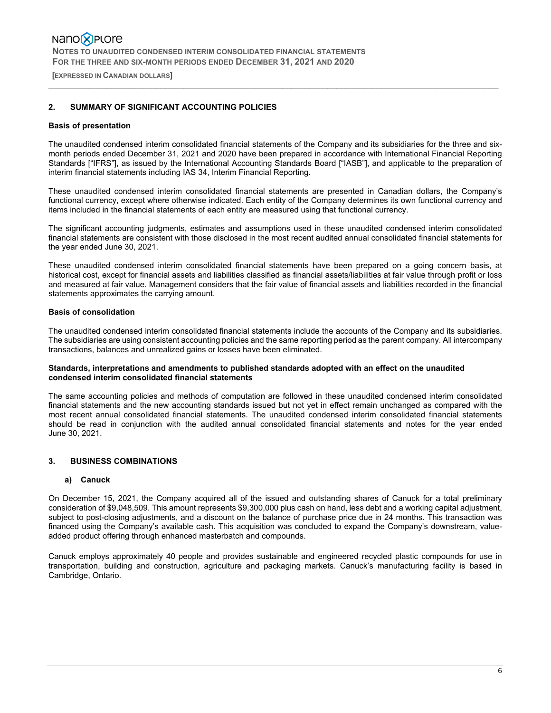**[EXPRESSED IN CANADIAN DOLLARS]** 

### **2. SUMMARY OF SIGNIFICANT ACCOUNTING POLICIES**

#### **Basis of presentation**

The unaudited condensed interim consolidated financial statements of the Company and its subsidiaries for the three and sixmonth periods ended December 31, 2021 and 2020 have been prepared in accordance with International Financial Reporting Standards ["IFRS"], as issued by the International Accounting Standards Board ["IASB"], and applicable to the preparation of interim financial statements including IAS 34, Interim Financial Reporting.

 $\_$  , and the state of the state of the state of the state of the state of the state of the state of the state of the state of the state of the state of the state of the state of the state of the state of the state of the

These unaudited condensed interim consolidated financial statements are presented in Canadian dollars, the Company's functional currency, except where otherwise indicated. Each entity of the Company determines its own functional currency and items included in the financial statements of each entity are measured using that functional currency.

The significant accounting judgments, estimates and assumptions used in these unaudited condensed interim consolidated financial statements are consistent with those disclosed in the most recent audited annual consolidated financial statements for the year ended June 30, 2021.

These unaudited condensed interim consolidated financial statements have been prepared on a going concern basis, at historical cost, except for financial assets and liabilities classified as financial assets/liabilities at fair value through profit or loss and measured at fair value. Management considers that the fair value of financial assets and liabilities recorded in the financial statements approximates the carrying amount.

### **Basis of consolidation**

The unaudited condensed interim consolidated financial statements include the accounts of the Company and its subsidiaries. The subsidiaries are using consistent accounting policies and the same reporting period as the parent company. All intercompany transactions, balances and unrealized gains or losses have been eliminated.

### **Standards, interpretations and amendments to published standards adopted with an effect on the unaudited condensed interim consolidated financial statements**

The same accounting policies and methods of computation are followed in these unaudited condensed interim consolidated financial statements and the new accounting standards issued but not yet in effect remain unchanged as compared with the most recent annual consolidated financial statements. The unaudited condensed interim consolidated financial statements should be read in conjunction with the audited annual consolidated financial statements and notes for the year ended June 30, 2021.

### **3. BUSINESS COMBINATIONS**

#### **a) Canuck**

On December 15, 2021, the Company acquired all of the issued and outstanding shares of Canuck for a total preliminary consideration of \$9,048,509. This amount represents \$9,300,000 plus cash on hand, less debt and a working capital adjustment, subject to post-closing adjustments, and a discount on the balance of purchase price due in 24 months. This transaction was financed using the Company's available cash. This acquisition was concluded to expand the Company's downstream, valueadded product offering through enhanced masterbatch and compounds.

Canuck employs approximately 40 people and provides sustainable and engineered recycled plastic compounds for use in transportation, building and construction, agriculture and packaging markets. Canuck's manufacturing facility is based in Cambridge, Ontario.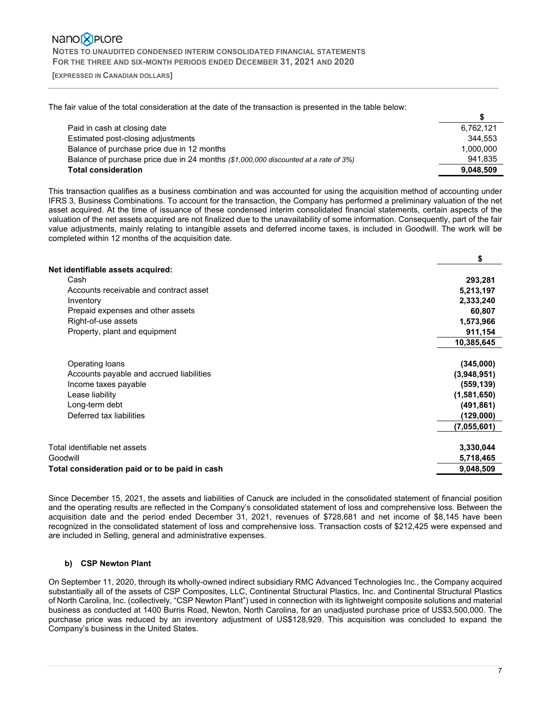**[EXPRESSED IN CANADIAN DOLLARS]** 

The fair value of the total consideration at the date of the transaction is presented in the table below:

| Paid in cash at closing date                                                        | 6,762,121 |
|-------------------------------------------------------------------------------------|-----------|
| Estimated post-closing adjustments                                                  | 344.553   |
| Balance of purchase price due in 12 months                                          | 1.000.000 |
| Balance of purchase price due in 24 months (\$1,000,000 discounted at a rate of 3%) | 941.835   |
| <b>Total consideration</b>                                                          | 9,048,509 |

 $\_$  , and the state of the state of the state of the state of the state of the state of the state of the state of the state of the state of the state of the state of the state of the state of the state of the state of the

This transaction qualifies as a business combination and was accounted for using the acquisition method of accounting under IFRS 3, Business Combinations. To account for the transaction, the Company has performed a preliminary valuation of the net asset acquired. At the time of issuance of these condensed interim consolidated financial statements, certain aspects of the valuation of the net assets acquired are not finalized due to the unavailability of some information. Consequently, part of the fair value adjustments, mainly relating to intangible assets and deferred income taxes, is included in Goodwill. The work will be completed within 12 months of the acquisition date.

|                                                | \$          |
|------------------------------------------------|-------------|
| Net identifiable assets acquired:              |             |
| Cash                                           | 293,281     |
| Accounts receivable and contract asset         | 5,213,197   |
| Inventory                                      | 2,333,240   |
| Prepaid expenses and other assets              | 60,807      |
| Right-of-use assets                            | 1,573,966   |
| Property, plant and equipment                  | 911,154     |
|                                                | 10,385,645  |
| Operating loans                                | (345,000)   |
| Accounts payable and accrued liabilities       | (3,948,951) |
| Income taxes payable                           | (559, 139)  |
| Lease liability                                | (1,581,650) |
| Long-term debt                                 | (491, 861)  |
| Deferred tax liabilities                       | (129,000)   |
|                                                | (7,055,601) |
| Total identifiable net assets                  | 3,330,044   |
| Goodwill                                       |             |
|                                                | 5,718,465   |
| Total consideration paid or to be paid in cash | 9,048,509   |

Since December 15, 2021, the assets and liabilities of Canuck are included in the consolidated statement of financial position and the operating results are reflected in the Company's consolidated statement of loss and comprehensive loss. Between the acquisition date and the period ended December 31, 2021, revenues of \$728,681 and net income of \$8,145 have been recognized in the consolidated statement of loss and comprehensive loss. Transaction costs of \$212,425 were expensed and are included in Selling, general and administrative expenses.

## **b) CSP Newton Plant**

On September 11, 2020, through its wholly-owned indirect subsidiary RMC Advanced Technologies Inc., the Company acquired substantially all of the assets of CSP Composites, LLC, Continental Structural Plastics, Inc. and Continental Structural Plastics of North Carolina, Inc. (collectively, "CSP Newton Plant") used in connection with its lightweight composite solutions and material business as conducted at 1400 Burris Road, Newton, North Carolina, for an unadjusted purchase price of US\$3,500,000. The purchase price was reduced by an inventory adjustment of US\$128,929. This acquisition was concluded to expand the Company's business in the United States.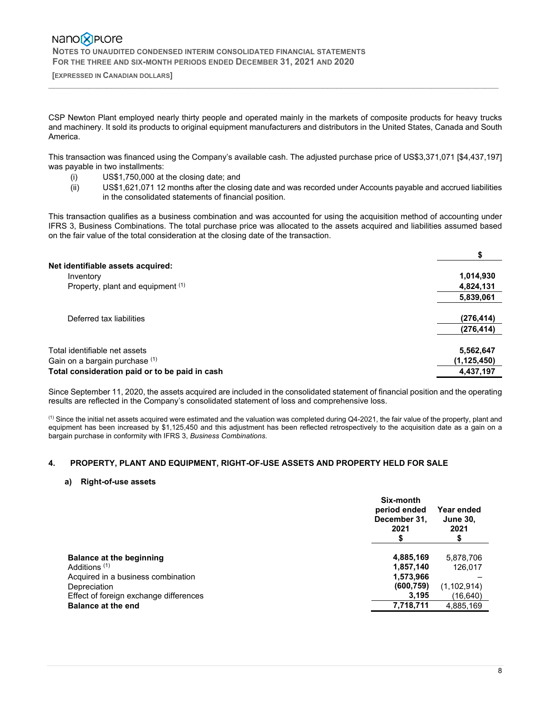**[EXPRESSED IN CANADIAN DOLLARS]** 

CSP Newton Plant employed nearly thirty people and operated mainly in the markets of composite products for heavy trucks and machinery. It sold its products to original equipment manufacturers and distributors in the United States, Canada and South America.

 $\_$  , and the state of the state of the state of the state of the state of the state of the state of the state of the state of the state of the state of the state of the state of the state of the state of the state of the

This transaction was financed using the Company's available cash. The adjusted purchase price of US\$3,371,071 [\$4,437,197] was payable in two installments:

- (i) US\$1,750,000 at the closing date; and
- (ii) US\$1,621,071 12 months after the closing date and was recorded under Accounts payable and accrued liabilities in the consolidated statements of financial position.

This transaction qualifies as a business combination and was accounted for using the acquisition method of accounting under IFRS 3, Business Combinations. The total purchase price was allocated to the assets acquired and liabilities assumed based on the fair value of the total consideration at the closing date of the transaction.

| Net identifiable assets acquired:              |               |
|------------------------------------------------|---------------|
| Inventory                                      | 1,014,930     |
| Property, plant and equipment (1)              | 4,824,131     |
|                                                | 5,839,061     |
| Deferred tax liabilities                       | (276, 414)    |
|                                                | (276, 414)    |
| Total identifiable net assets                  | 5,562,647     |
| Gain on a bargain purchase (1)                 | (1, 125, 450) |
| Total consideration paid or to be paid in cash | 4,437,197     |

Since September 11, 2020, the assets acquired are included in the consolidated statement of financial position and the operating results are reflected in the Company's consolidated statement of loss and comprehensive loss.

 $<sup>(1)</sup>$  Since the initial net assets acquired were estimated and the valuation was completed during Q4-2021, the fair value of the property, plant and</sup> equipment has been increased by \$1,125,450 and this adjustment has been reflected retrospectively to the acquisition date as a gain on a bargain purchase in conformity with IFRS 3, *Business Combinations*.

### **4. PROPERTY, PLANT AND EQUIPMENT, RIGHT-OF-USE ASSETS AND PROPERTY HELD FOR SALE**

### **a) Right-of-use assets**

|                                        | Six-month<br>period ended<br>December 31,<br>2021 | Year ended<br><b>June 30,</b><br>2021 |
|----------------------------------------|---------------------------------------------------|---------------------------------------|
| Balance at the beginning               | 4,885,169                                         | 5,878,706                             |
| Additions <sup>(1)</sup>               | 1,857,140                                         | 126.017                               |
| Acquired in a business combination     | 1,573,966                                         |                                       |
| Depreciation                           | (600, 759)                                        | (1, 102, 914)                         |
| Effect of foreign exchange differences | 3,195                                             | (16,640)                              |
| <b>Balance at the end</b>              | 7,718,711                                         | 4,885,169                             |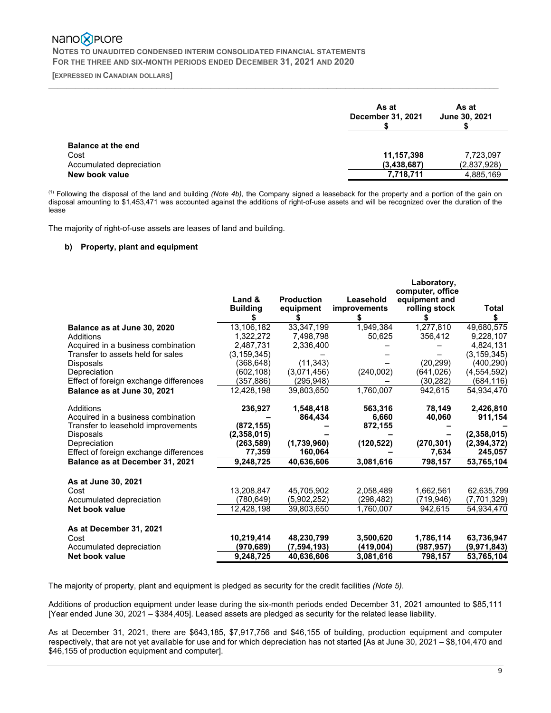# Nano<sup>2</sup>PLOre

 **NOTES TO UNAUDITED CONDENSED INTERIM CONSOLIDATED FINANCIAL STATEMENTS FOR THE THREE AND SIX-MONTH PERIODS ENDED DECEMBER 31, 2021 AND 2020** 

 **[EXPRESSED IN CANADIAN DOLLARS]** 

|                                                                                 | As at<br>December 31, 2021             | As at<br>June 30, 2021                |
|---------------------------------------------------------------------------------|----------------------------------------|---------------------------------------|
| <b>Balance at the end</b><br>Cost<br>Accumulated depreciation<br>New book value | 11,157,398<br>(3,438,687)<br>7,718,711 | 7,723,097<br>(2,837,928)<br>4,885,169 |

 $\_$  , and the state of the state of the state of the state of the state of the state of the state of the state of the state of the state of the state of the state of the state of the state of the state of the state of the

 (1) Following the disposal of the land and building *(Note 4b)*, the Company signed a leaseback for the property and a portion of the gain on disposal amounting to \$1,453,471 was accounted against the additions of right-of-use assets and will be recognized over the duration of the lease

The majority of right-of-use assets are leases of land and building.

### **b) Property, plant and equipment**

|                                        |                 |                   |              | Laboratory,      |               |
|----------------------------------------|-----------------|-------------------|--------------|------------------|---------------|
|                                        |                 |                   |              | computer, office |               |
|                                        | Land &          | <b>Production</b> | Leasehold    | equipment and    |               |
|                                        | <b>Building</b> | equipment         | improvements | rolling stock    | Total         |
|                                        |                 |                   |              |                  | \$            |
| Balance as at June 30, 2020            | 13,106,182      | 33,347,199        | 1,949,384    | 1,277,810        | 49,680,575    |
| Additions                              | 1,322,272       | 7,498,798         | 50,625       | 356,412          | 9,228,107     |
| Acquired in a business combination     | 2,487,731       | 2,336,400         |              |                  | 4,824,131     |
| Transfer to assets held for sales      | (3.159.345)     |                   |              |                  | (3.159.345)   |
| <b>Disposals</b>                       | (368,648)       | (11, 343)         |              | (20, 299)        | (400, 290)    |
| Depreciation                           | (602, 108)      | (3,071,456)       | (240,002)    | (641, 026)       | (4, 554, 592) |
| Effect of foreign exchange differences | (357,886)       | (295,948)         |              | (30, 282)        | (684, 116)    |
| Balance as at June 30, 2021            | 12.428.198      | 39.803.650        | 1,760,007    | 942.615          | 54.934.470    |
| Additions                              | 236,927         | 1,548,418         | 563,316      | 78,149           | 2,426,810     |
| Acquired in a business combination     |                 | 864,434           | 6,660        | 40,060           | 911,154       |
| Transfer to leasehold improvements     | (872, 155)      |                   | 872,155      |                  |               |
| <b>Disposals</b>                       | (2,358,015)     |                   |              |                  | (2,358,015)   |
| Depreciation                           | (263, 589)      | (1,739,960)       | (120, 522)   | (270, 301)       | (2, 394, 372) |
| Effect of foreign exchange differences | 77,359          | 160,064           |              | 7,634            | 245,057       |
| <b>Balance as at December 31, 2021</b> | 9,248,725       | 40,636,606        | 3,081,616    | 798,157          | 53,765,104    |
| As at June 30, 2021                    |                 |                   |              |                  |               |
| Cost                                   | 13.208.847      | 45.705.902        | 2.058.489    | 1,662,561        | 62.635.799    |
| Accumulated depreciation               | (780,649)       | (5,902,252)       | (298,482)    | (719,946)        | (7,701,329)   |
| Net book value                         | 12,428,198      | 39,803,650        | 1,760,007    | 942,615          | 54,934,470    |
| As at December 31, 2021                |                 |                   |              |                  |               |
| Cost                                   | 10,219,414      | 48,230,799        | 3,500,620    | 1,786,114        | 63,736,947    |
| Accumulated depreciation               | (970,689)       | (7,594,193)       | (419,004)    | (987, 957)       | (9,971,843)   |
| Net book value                         | 9,248,725       | 40,636,606        | 3,081,616    | 798,157          | 53,765,104    |

The majority of property, plant and equipment is pledged as security for the credit facilities *(Note 5)*.

Additions of production equipment under lease during the six-month periods ended December 31, 2021 amounted to \$85,111 [Year ended June 30, 2021 – \$384,405]. Leased assets are pledged as security for the related lease liability.

As at December 31, 2021, there are \$643,185, \$7,917,756 and \$46,155 of building, production equipment and computer respectively, that are not yet available for use and for which depreciation has not started [As at June 30, 2021 – \$8,104,470 and \$46,155 of production equipment and computer].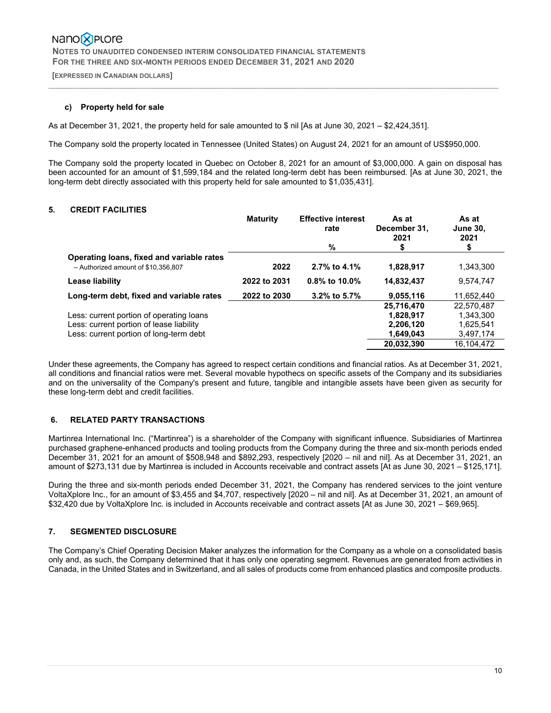**[EXPRESSED IN CANADIAN DOLLARS]** 

### **c) Property held for sale**

As at December 31, 2021, the property held for sale amounted to \$ nil [As at June 30, 2021 – \$2,424,351].

The Company sold the property located in Tennessee (United States) on August 24, 2021 for an amount of US\$950,000.

The Company sold the property located in Quebec on October 8, 2021 for an amount of \$3,000,000. A gain on disposal has been accounted for an amount of \$1,599,184 and the related long-term debt has been reimbursed. [As at June 30, 2021, the long-term debt directly associated with this property held for sale amounted to \$1,035,431].

 $\_$  , and the state of the state of the state of the state of the state of the state of the state of the state of the state of the state of the state of the state of the state of the state of the state of the state of the

### **5. CREDIT FACILITIES**

|                                                                                  | <b>Maturity</b> | <b>Effective interest</b><br>rate | As at<br>December 31.<br>2021 | As at<br><b>June 30,</b><br>2021 |
|----------------------------------------------------------------------------------|-----------------|-----------------------------------|-------------------------------|----------------------------------|
|                                                                                  |                 | %                                 | \$                            |                                  |
| Operating loans, fixed and variable rates<br>- Authorized amount of \$10.356.807 | 2022            | 2.7% to 4.1%                      | 1,828,917                     | 1,343,300                        |
| Lease liability                                                                  | 2022 to 2031    | $0.8\%$ to 10.0%                  | 14,832,437                    | 9,574,747                        |
| Long-term debt, fixed and variable rates                                         | 2022 to 2030    | 3.2% to 5.7%                      | 9.055.116                     | 11.652.440                       |
|                                                                                  |                 |                                   | 25,716,470                    | 22.570.487                       |
| Less: current portion of operating loans                                         |                 |                                   | 1.828.917                     | 1.343.300                        |
| Less: current portion of lease liability                                         |                 |                                   | 2.206.120                     | 1.625.541                        |
| Less: current portion of long-term debt                                          |                 |                                   | 1,649,043                     | 3,497,174                        |
|                                                                                  |                 |                                   | 20,032,390                    | 16,104,472                       |

Under these agreements, the Company has agreed to respect certain conditions and financial ratios. As at December 31, 2021, all conditions and financial ratios were met. Several movable hypothecs on specific assets of the Company and its subsidiaries and on the universality of the Company's present and future, tangible and intangible assets have been given as security for these long-term debt and credit facilities.

## **6. RELATED PARTY TRANSACTIONS**

Martinrea International Inc. ("Martinrea") is a shareholder of the Company with significant influence. Subsidiaries of Martinrea purchased graphene-enhanced products and tooling products from the Company during the three and six-month periods ended December 31, 2021 for an amount of \$508,948 and \$892,293, respectively [2020 – nil and nil]. As at December 31, 2021, an amount of \$273,131 due by Martinrea is included in Accounts receivable and contract assets [At as June 30, 2021 – \$125,171].

During the three and six-month periods ended December 31, 2021, the Company has rendered services to the joint venture VoltaXplore Inc., for an amount of \$3,455 and \$4,707, respectively [2020 – nil and nil]. As at December 31, 2021, an amount of \$32,420 due by VoltaXplore Inc. is included in Accounts receivable and contract assets [At as June 30, 2021 – \$69,965].

### **7. SEGMENTED DISCLOSURE**

The Company's Chief Operating Decision Maker analyzes the information for the Company as a whole on a consolidated basis only and, as such, the Company determined that it has only one operating segment. Revenues are generated from activities in Canada, in the United States and in Switzerland, and all sales of products come from enhanced plastics and composite products.